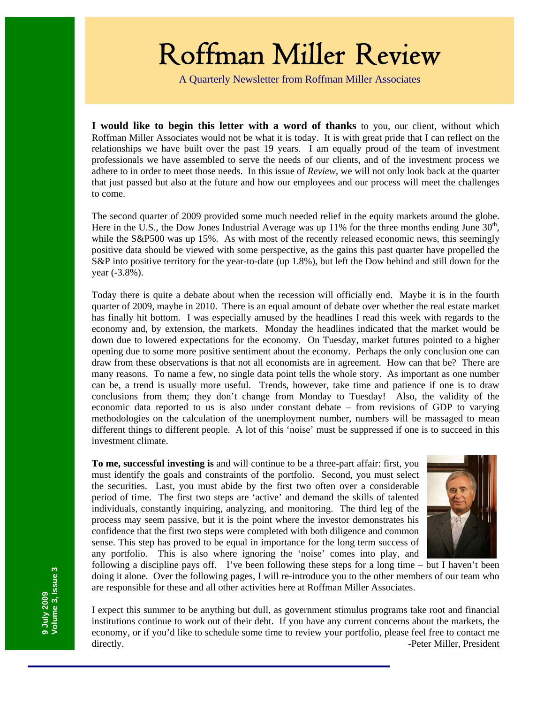# Roffman Miller Review

A Quarterly Newsletter from Roffman Miller Associates

**I would like to begin this letter with a word of thanks** to you, our client, without which Roffman Miller Associates would not be what it is today. It is with great pride that I can reflect on the relationships we have built over the past 19 years. I am equally proud of the team of investment professionals we have assembled to serve the needs of our clients, and of the investment process we adhere to in order to meet those needs. In this issue of *Review*, we will not only look back at the quarter that just passed but also at the future and how our employees and our process will meet the challenges to come.

The second quarter of 2009 provided some much needed relief in the equity markets around the globe. Here in the U.S., the Dow Jones Industrial Average was up 11% for the three months ending June  $30<sup>th</sup>$ , while the S&P500 was up 15%. As with most of the recently released economic news, this seemingly positive data should be viewed with some perspective, as the gains this past quarter have propelled the S&P into positive territory for the year-to-date (up 1.8%), but left the Dow behind and still down for the year (-3.8%).

Today there is quite a debate about when the recession will officially end. Maybe it is in the fourth quarter of 2009, maybe in 2010. There is an equal amount of debate over whether the real estate market has finally hit bottom. I was especially amused by the headlines I read this week with regards to the economy and, by extension, the markets. Monday the headlines indicated that the market would be down due to lowered expectations for the economy. On Tuesday, market futures pointed to a higher opening due to some more positive sentiment about the economy. Perhaps the only conclusion one can draw from these observations is that not all economists are in agreement. How can that be? There are many reasons. To name a few, no single data point tells the whole story. As important as one number can be, a trend is usually more useful. Trends, however, take time and patience if one is to draw conclusions from them; they don't change from Monday to Tuesday! Also, the validity of the economic data reported to us is also under constant debate – from revisions of GDP to varying methodologies on the calculation of the unemployment number, numbers will be massaged to mean different things to different people. A lot of this 'noise' must be suppressed if one is to succeed in this investment climate.

**To me, successful investing is** and will continue to be a three-part affair: first, you must identify the goals and constraints of the portfolio. Second, you must select the securities. Last, you must abide by the first two often over a considerable period of time. The first two steps are 'active' and demand the skills of talented individuals, constantly inquiring, analyzing, and monitoring. The third leg of the process may seem passive, but it is the point where the investor demonstrates his confidence that the first two steps were completed with both diligence and common sense. This step has proved to be equal in importance for the long term success of any portfolio. This is also where ignoring the 'noise' comes into play, and following a discipline pays off. I've been following these steps for a long time – but I haven't been



doing it alone. Over the following pages, I will re-introduce you to the other members of our team who are responsible for these and all other activities here at Roffman Miller Associates.

I expect this summer to be anything but dull, as government stimulus programs take root and financial institutions continue to work out of their debt. If you have any current concerns about the markets, the economy, or if you'd like to schedule some time to review your portfolio, please feel free to contact me directly. **Figure 2.1 Constant 2.1 Constant 2.1 Constant 2.1 Constant 2.1 Constant 2.1 Constant 2.1 Constant 2.1 Constant 2.1 Constant 2.1 Constant 2.1 Constant 2.1 Constant 2.1 Constant 2.1 Con**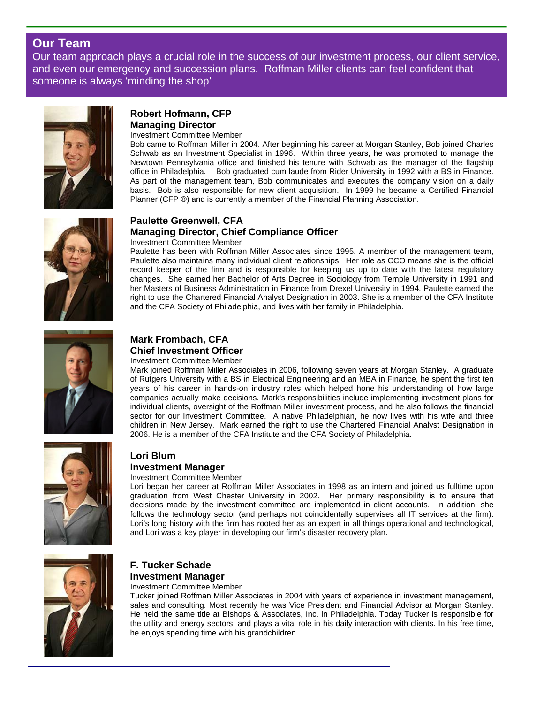# **Our Team**

Our team approach plays a crucial role in the success of our investment process, our client service, and even our emergency and succession plans. Roffman Miller clients can feel confident that someone is always 'minding the shop'



# **Robert Hofmann, CFP Managing Director**

#### Investment Committee Member

Bob came to Roffman Miller in 2004. After beginning his career at Morgan Stanley, Bob joined Charles Schwab as an Investment Specialist in 1996. Within three years, he was promoted to manage the Newtown Pennsylvania office and finished his tenure with Schwab as the manager of the flagship office in Philadelphia. Bob graduated cum laude from Rider University in 1992 with a BS in Finance. As part of the management team, Bob communicates and executes the company vision on a daily basis. Bob is also responsible for new client acquisition. In 1999 he became a Certified Financial Planner (CFP ®) and is currently a member of the Financial Planning Association.



# **Paulette Greenwell, CFA Managing Director, Chief Compliance Officer**

#### Investment Committee Member

Paulette has been with Roffman Miller Associates since 1995. A member of the management team, Paulette also maintains many individual client relationships. Her role as CCO means she is the official record keeper of the firm and is responsible for keeping us up to date with the latest regulatory changes. She earned her Bachelor of Arts Degree in Sociology from Temple University in 1991 and her Masters of Business Administration in Finance from Drexel University in 1994. Paulette earned the right to use the Chartered Financial Analyst Designation in 2003. She is a member of the CFA Institute and the CFA Society of Philadelphia, and lives with her family in Philadelphia.



#### **Mark Frombach, CFA Chief Investment Officer**  Investment Committee Member

Mark joined Roffman Miller Associates in 2006, following seven years at Morgan Stanley. A graduate of Rutgers University with a BS in Electrical Engineering and an MBA in Finance, he spent the first ten years of his career in hands-on industry roles which helped hone his understanding of how large companies actually make decisions. Mark's responsibilities include implementing investment plans for individual clients, oversight of the Roffman Miller investment process, and he also follows the financial sector for our Investment Committee. A native Philadelphian, he now lives with his wife and three children in New Jersey. Mark earned the right to use the Chartered Financial Analyst Designation in 2006. He is a member of the CFA Institute and the CFA Society of Philadelphia.



#### **Lori Blum Investment Manager**

### Investment Committee Member

Lori began her career at Roffman Miller Associates in 1998 as an intern and joined us fulltime upon graduation from West Chester University in 2002. Her primary responsibility is to ensure that decisions made by the investment committee are implemented in client accounts. In addition, she follows the technology sector (and perhaps not coincidentally supervises all IT services at the firm). Lori's long history with the firm has rooted her as an expert in all things operational and technological, and Lori was a key player in developing our firm's disaster recovery plan.



# **F. Tucker Schade Investment Manager**

Investment Committee Member

Tucker joined Roffman Miller Associates in 2004 with years of experience in investment management, sales and consulting. Most recently he was Vice President and Financial Advisor at Morgan Stanley. He held the same title at Bishops & Associates, Inc. in Philadelphia. Today Tucker is responsible for the utility and energy sectors, and plays a vital role in his daily interaction with clients. In his free time, he enjoys spending time with his grandchildren.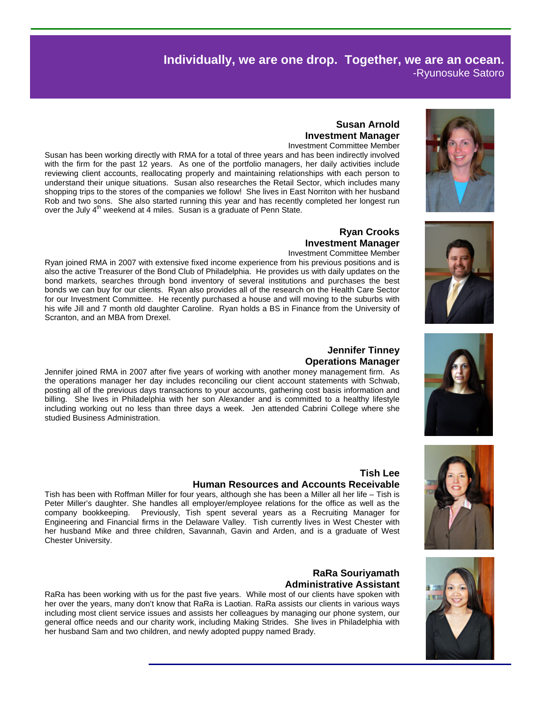# **Individually, we are one drop. Together, we are an ocean.** -Ryunosuke Satoro

# **Susan Arnold Investment Manager**

Investment Committee Member

Susan has been working directly with RMA for a total of three years and has been indirectly involved with the firm for the past 12 years. As one of the portfolio managers, her daily activities include reviewing client accounts, reallocating properly and maintaining relationships with each person to understand their unique situations. Susan also researches the Retail Sector, which includes many shopping trips to the stores of the companies we follow! She lives in East Norriton with her husband Rob and two sons. She also started running this year and has recently completed her longest run over the July 4<sup>th</sup> weekend at 4 miles. Susan is a graduate of Penn State.

#### **Ryan Crooks Investment Manager**

#### Investment Committee Member

Ryan joined RMA in 2007 with extensive fixed income experience from his previous positions and is also the active Treasurer of the Bond Club of Philadelphia. He provides us with daily updates on the bond markets, searches through bond inventory of several institutions and purchases the best bonds we can buy for our clients. Ryan also provides all of the research on the Health Care Sector for our Investment Committee. He recently purchased a house and will moving to the suburbs with his wife Jill and 7 month old daughter Caroline. Ryan holds a BS in Finance from the University of Scranton, and an MBA from Drexel.

# **Jennifer Tinney**

Jennifer joined RMA in 2007 after five years of working with another money management firm. As the operations manager her day includes reconciling our client account statements with Schwab, posting all of the previous days transactions to your accounts, gathering cost basis information and billing. She lives in Philadelphia with her son Alexander and is committed to a healthy lifestyle including working out no less than three days a week. Jen attended Cabrini College where she studied Business Administration.

#### **Tish Lee Human Resources and Accounts Receivable**

Tish has been with Roffman Miller for four years, although she has been a Miller all her life – Tish is Peter Miller's daughter. She handles all employer/employee relations for the office as well as the company bookkeeping. Previously, Tish spent several years as a Recruiting Manager for Engineering and Financial firms in the Delaware Valley. Tish currently lives in West Chester with her husband Mike and three children, Savannah, Gavin and Arden, and is a graduate of West Chester University.

#### **RaRa Souriyamath Administrative Assistant**

RaRa has been working with us for the past five years. While most of our clients have spoken with her over the years, many don't know that RaRa is Laotian. RaRa assists our clients in various ways including most client service issues and assists her colleagues by managing our phone system, our general office needs and our charity work, including Making Strides. She lives in Philadelphia with her husband Sam and two children, and newly adopted puppy named Brady.

# **Operations Manager**